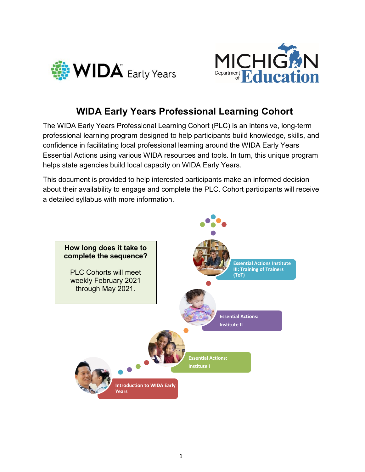



# **WIDA Early Years Professional Learning Cohort**

The WIDA Early Years Professional Learning Cohort (PLC) is an intensive, long-term professional learning program designed to help participants build knowledge, skills, and confidence in facilitating local professional learning around the WIDA Early Years Essential Actions using various WIDA resources and tools. In turn, this unique program helps state agencies build local capacity on WIDA Early Years.

This document is provided to help interested participants make an informed decision about their availability to engage and complete the PLC. Cohort participants will receive a detailed syllabus with more information.

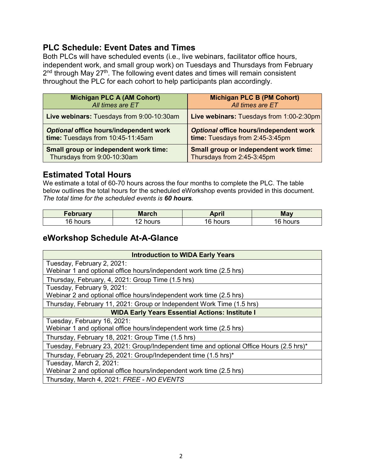#### **PLC Schedule: Event Dates and Times**

Both PLCs will have scheduled events (i.e., live webinars, facilitator office hours, independent work, and small group work) on Tuesdays and Thursdays from February 2<sup>nd</sup> through May 27<sup>th</sup>. The following event dates and times will remain consistent throughout the PLC for each cohort to help participants plan accordingly.

| <b>Michigan PLC A (AM Cohort)</b>         | <b>Michigan PLC B (PM Cohort)</b>               |
|-------------------------------------------|-------------------------------------------------|
| All times are ET                          | All times are ET                                |
| Live webinars: Tuesdays from 9:00-10:30am | <b>Live webinars: Tuesdays from 1:00-2:30pm</b> |
| Optional office hours/independent work    | Optional office hours/independent work          |
| time: Tuesdays from 10:45-11:45am         | time: Tuesdays from 2:45-3:45pm                 |
| Small group or independent work time:     | <b>Small group or independent work time:</b>    |
| Thursdays from 9:00-10:30am               | Thursdays from 2:45-3:45pm                      |

### **Estimated Total Hours**

We estimate a total of 60-70 hours across the four months to complete the PLC. The table below outlines the total hours for the scheduled eWorkshop events provided in this document. *The total time for the scheduled events is 60 hours.* 

| <b>February</b> | <b>March</b> | April | <b>May</b> |
|-----------------|--------------|-------|------------|
| 16              | hours        | hours | hours      |
| hours           |              | 16.   | ''         |

### **eWorkshop Schedule At-A-Glance**

| <b>Introduction to WIDA Early Years</b>                                                 |  |  |
|-----------------------------------------------------------------------------------------|--|--|
| Tuesday, February 2, 2021:                                                              |  |  |
| Webinar 1 and optional office hours/independent work time (2.5 hrs)                     |  |  |
| Thursday, February, 4, 2021: Group Time (1.5 hrs)                                       |  |  |
| Tuesday, February 9, 2021:                                                              |  |  |
| Webinar 2 and optional office hours/independent work time (2.5 hrs)                     |  |  |
| Thursday, February 11, 2021: Group or Independent Work Time (1.5 hrs)                   |  |  |
| <b>WIDA Early Years Essential Actions: Institute I</b>                                  |  |  |
| Tuesday, February 16, 2021:                                                             |  |  |
| Webinar 1 and optional office hours/independent work time (2.5 hrs)                     |  |  |
| Thursday, February 18, 2021: Group Time (1.5 hrs)                                       |  |  |
| Tuesday, February 23, 2021: Group/Independent time and optional Office Hours (2.5 hrs)* |  |  |
| Thursday, February 25, 2021: Group/Independent time (1.5 hrs)*                          |  |  |
| Tuesday, March 2, 2021:                                                                 |  |  |
| Webinar 2 and optional office hours/independent work time (2.5 hrs)                     |  |  |
| Thursday, March 4, 2021: FREE - NO EVENTS                                               |  |  |